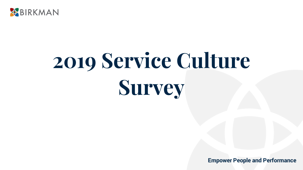

# **2019 Service Culture Survey**

**Empower People and Performance**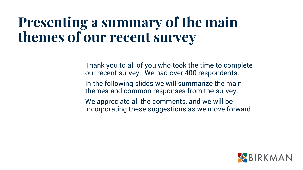### **Presenting a summary of the main themes of our recent survey**

Thank you to all of you who took the time to complete our recent survey. We had over 400 respondents.

In the following slides we will summarize the main themes and common responses from the survey.

We appreciate all the comments, and we will be incorporating these suggestions as we move forward.

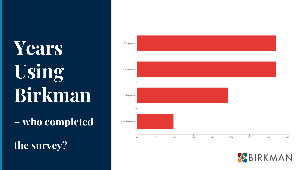## **Years Using Birkman**

**– who completed** 

**the survey?**



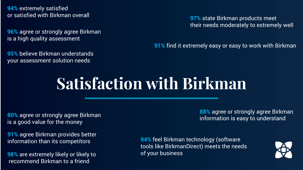**94%** extremely satisfied or satisfied with Birkman overall

**96%** agree or strongly agree Birkman is a high quality assessment

**95%** believe Birkman understands your assessment solution needs

**97%** state Birkman products meet their needs moderately to extremely well

**91%** find it extremely easy or easy to work with Birkman

### **Satisfaction with Birkman**

**80%** agree or strongly agree Birkman is a good value for the money

**91%** agree Birkman provides better information than its competitors

**98%** are extremely likely or likely to recommend Birkman to a friend

**88%** agree or strongly agree Birkman information is easy to understand

**94%** feel Birkman technology (software tools like BirkmanDirect) meets the needs of your business

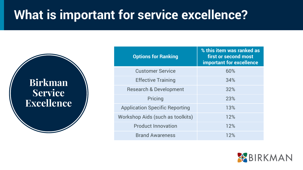#### **What is important for service excellence?**

**Birkman Service Excellence**

| <b>Options for Ranking</b>            | % this item was ranked as<br>first or second most<br><b>important for excellence</b> |
|---------------------------------------|--------------------------------------------------------------------------------------|
| <b>Customer Service</b>               | 60%                                                                                  |
| <b>Effective Training</b>             | 34%                                                                                  |
| <b>Research &amp; Development</b>     | 32%                                                                                  |
| Pricing                               | 23%                                                                                  |
| <b>Application Specific Reporting</b> | 13%                                                                                  |
| Workshop Aids (such as toolkits)      | 12%                                                                                  |
| <b>Product Innovation</b>             | 12%                                                                                  |
| <b>Brand Awareness</b>                | 12%                                                                                  |

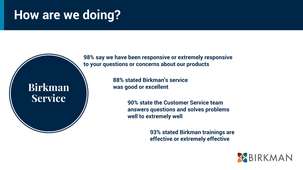#### **How are we doing?**

**Birkman Service**

**98% say we have been responsive or extremely responsive to your questions or concerns about our products**

> **88% stated Birkman's service was good or excellent**

> > **90% state the Customer Service team answers questions and solves problems well to extremely well**

> > > **93% stated Birkman trainings are effective or extremely effective**

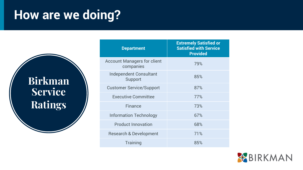#### **How are we doing?**

**Birkman Service Ratings**

| <b>Department</b>                               | <b>Extremely Satisfied or</b><br><b>Satisfied with Service</b><br><b>Provided</b> |
|-------------------------------------------------|-----------------------------------------------------------------------------------|
| <b>Account Managers for client</b><br>companies | 79%                                                                               |
| <b>Independent Consultant</b><br>Support        | 85%                                                                               |
| <b>Customer Service/Support</b>                 | 87%                                                                               |
| <b>Executive Committee</b>                      | 77%                                                                               |
| Finance                                         | 73%                                                                               |
| <b>Information Technology</b>                   | 67%                                                                               |
| <b>Product Innovation</b>                       | 68%                                                                               |
| <b>Research &amp; Development</b>               | 71%                                                                               |
| Training                                        | 85%                                                                               |

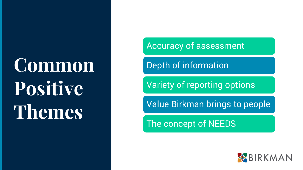### **Common Positive Themes**

Accuracy of assessment

Depth of information

Variety of reporting options

Value Birkman brings to people

The concept of NEEDS

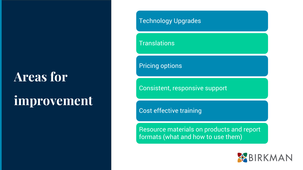#### **Areas for**

### **improvement**

#### Technology Upgrades

**Translations** 

Pricing options

Consistent, responsive support

Cost effective training

Resource materials on products and report formats (what and how to use them)

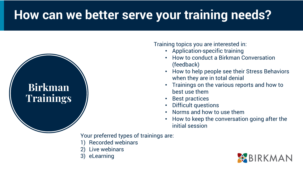#### **How can we better serve your training needs?**

#### **Birkman Trainings**

Training topics you are interested in:

- Application-specific training
- How to conduct a Birkman Conversation (feedback)
- How to help people see their Stress Behaviors when they are in total denial
- Trainings on the various reports and how to best use them
- Best practices
- Difficult questions
- Norms and how to use them
- How to keep the conversation going after the initial session

Your preferred types of trainings are:

- 1) Recorded webinars
- Live webinars
- 3) eLearning

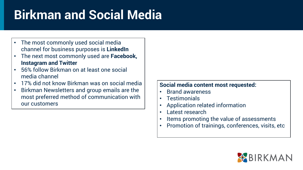### **Birkman and Social Media**

- The most commonly used social media channel for business purposes is **LinkedIn**
- The next most commonly used are **Facebook, Instagram and Twitter**
- 56% follow Birkman on at least one social media channel
- 17% did not know Birkman was on social media
- Birkman Newsletters and group emails are the most preferred method of communication with our customers

#### **Social media content most requested:**

- Brand awareness
- Testimonials
- Application related information
- Latest research
- Items promoting the value of assessments
- Promotion of trainings, conferences, visits, etc